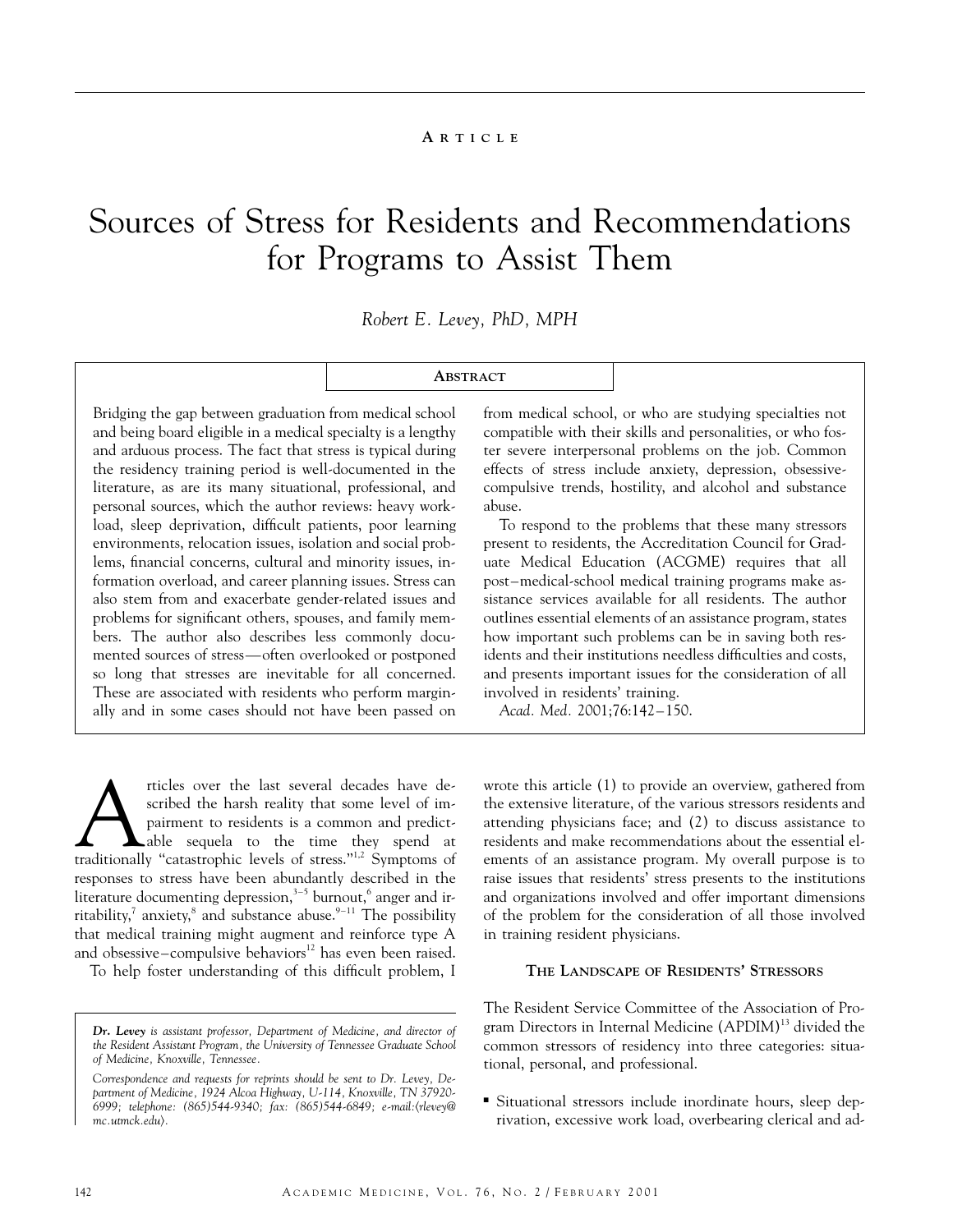## **A R T I C L E**

# Sources of Stress for Residents and Recommendations for Programs to Assist Them

*Robert E. Levey, PhD, MPH*

#### **ABSTRACT**

Bridging the gap between graduation from medical school and being board eligible in a medical specialty is a lengthy and arduous process. The fact that stress is typical during the residency training period is well-documented in the literature, as are its many situational, professional, and personal sources, which the author reviews: heavy workload, sleep deprivation, difficult patients, poor learning environments, relocation issues, isolation and social problems, financial concerns, cultural and minority issues, information overload, and career planning issues. Stress can also stem from and exacerbate gender-related issues and problems for significant others, spouses, and family members. The author also describes less commonly documented sources of stress—often overlooked or postponed so long that stresses are inevitable for all concerned. These are associated with residents who perform marginally and in some cases should not have been passed on

from medical school, or who are studying specialties not compatible with their skills and personalities, or who foster severe interpersonal problems on the job. Common effects of stress include anxiety, depression, obsessivecompulsive trends, hostility, and alcohol and substance abuse.

To respond to the problems that these many stressors present to residents, the Accreditation Council for Graduate Medical Education (ACGME) requires that all post–medical-school medical training programs make assistance services available for all residents. The author outlines essential elements of an assistance program, states how important such problems can be in saving both residents and their institutions needless difficulties and costs, and presents important issues for the consideration of all involved in residents' training.

*Acad. Med.* 2001;76:142–150.

Tricles over the last several decades have described the harsh reality that some level of impairment to residents is a common and predict-<br>able sequela to the time they spend at traditionally "catastrophic levels of stress rticles over the last several decades have described the harsh reality that some level of impairment to residents is a common and predictable sequela to the time they spend at responses to stress have been abundantly described in the literature documenting depression,<sup>3-5</sup> burnout,<sup>6</sup> anger and irritability,<sup>7</sup> anxiety,<sup>8</sup> and substance abuse.<sup>9-11</sup> The possibility that medical training might augment and reinforce type A and obsessive–compulsive behaviors $12$  has even been raised.

To help foster understanding of this difficult problem, I

wrote this article (1) to provide an overview, gathered from the extensive literature, of the various stressors residents and attending physicians face; and (2) to discuss assistance to residents and make recommendations about the essential elements of an assistance program. My overall purpose is to raise issues that residents' stress presents to the institutions and organizations involved and offer important dimensions of the problem for the consideration of all those involved in training resident physicians.

#### **THE LANDSCAPE OF RESIDENTS' STRESSORS**

The Resident Service Committee of the Association of Program Directors in Internal Medicine (APDIM)<sup>13</sup> divided the common stressors of residency into three categories: situational, personal, and professional.

<sup>n</sup> Situational stressors include inordinate hours, sleep deprivation, excessive work load, overbearing clerical and ad-

*Dr. Levey is assistant professor, Department of Medicine, and director of the Resident Assistant Program, the University of Tennessee Graduate School of Medicine, Knoxville, Tennessee.*

*Correspondence and requests for reprints should be sent to Dr. Levey, Department of Medicine, 1924 Alcoa Highway, U-114, Knoxville, TN 37920- 6999; telephone: (865)544-9340; fax: (865)544-6849; e-mail:*^*rlevey@* mc.utmck.edu $\rangle$ .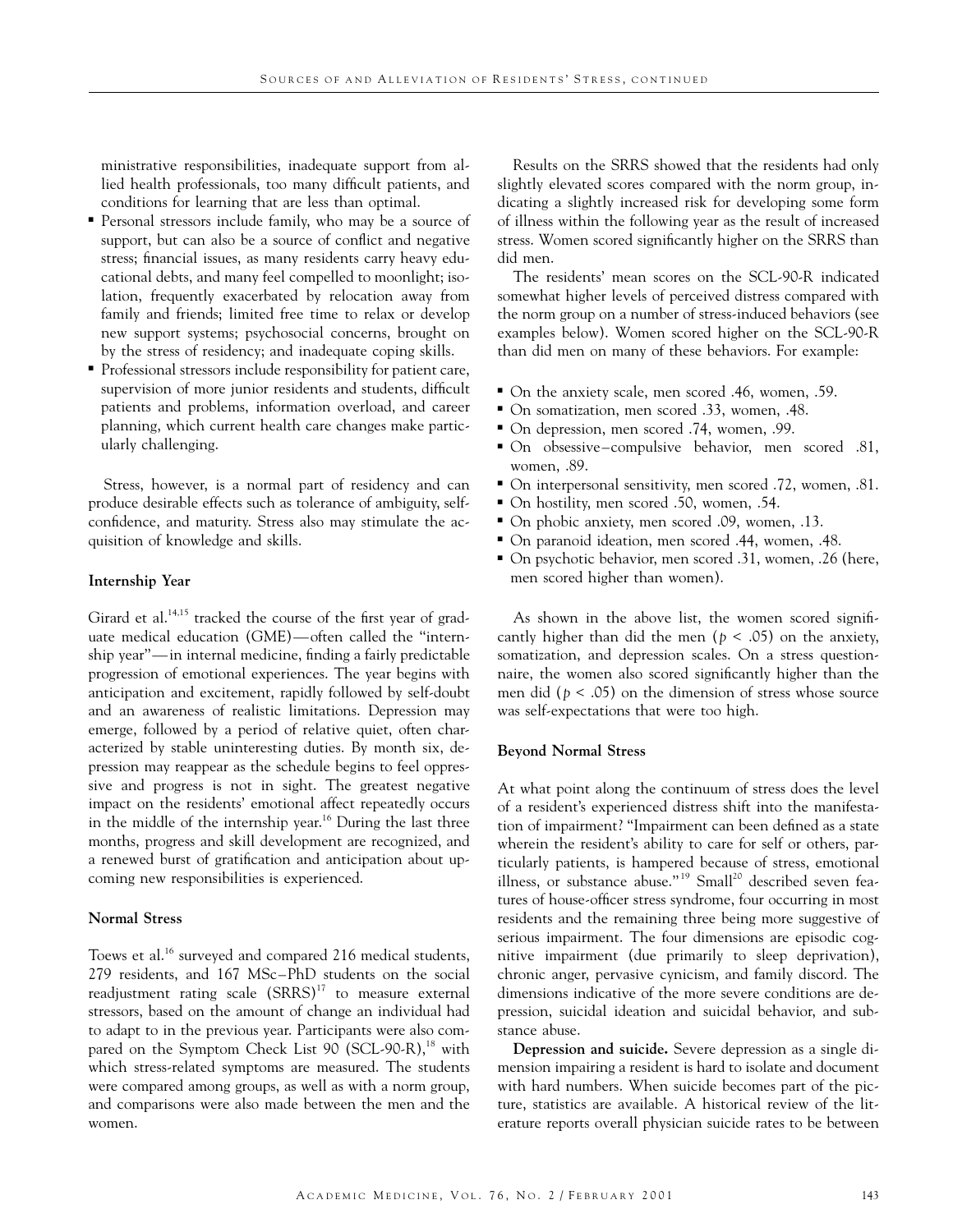ministrative responsibilities, inadequate support from allied health professionals, too many difficult patients, and conditions for learning that are less than optimal.

- **Personal stressors include family, who may be a source of** support, but can also be a source of conflict and negative stress; financial issues, as many residents carry heavy educational debts, and many feel compelled to moonlight; isolation, frequently exacerbated by relocation away from family and friends; limited free time to relax or develop new support systems; psychosocial concerns, brought on by the stress of residency; and inadequate coping skills.
- <sup>n</sup> Professional stressors include responsibility for patient care, supervision of more junior residents and students, difficult patients and problems, information overload, and career planning, which current health care changes make particularly challenging.

Stress, however, is a normal part of residency and can produce desirable effects such as tolerance of ambiguity, selfconfidence, and maturity. Stress also may stimulate the acquisition of knowledge and skills.

### **Internship Year**

Girard et al.<sup>14,15</sup> tracked the course of the first year of graduate medical education (GME)—often called the ''internship year''—in internal medicine, finding a fairly predictable progression of emotional experiences. The year begins with anticipation and excitement, rapidly followed by self-doubt and an awareness of realistic limitations. Depression may emerge, followed by a period of relative quiet, often characterized by stable uninteresting duties. By month six, depression may reappear as the schedule begins to feel oppressive and progress is not in sight. The greatest negative impact on the residents' emotional affect repeatedly occurs in the middle of the internship year.<sup>16</sup> During the last three months, progress and skill development are recognized, and a renewed burst of gratification and anticipation about upcoming new responsibilities is experienced.

#### **Normal Stress**

Toews et al.<sup>16</sup> surveyed and compared 216 medical students, 279 residents, and 167 MSc–PhD students on the social readjustment rating scale (SRRS)<sup>17</sup> to measure external stressors, based on the amount of change an individual had to adapt to in the previous year. Participants were also compared on the Symptom Check List 90 (SCL-90-R),<sup>18</sup> with which stress-related symptoms are measured. The students were compared among groups, as well as with a norm group, and comparisons were also made between the men and the women.

Results on the SRRS showed that the residents had only slightly elevated scores compared with the norm group, indicating a slightly increased risk for developing some form of illness within the following year as the result of increased stress. Women scored significantly higher on the SRRS than did men.

The residents' mean scores on the SCL-90-R indicated somewhat higher levels of perceived distress compared with the norm group on a number of stress-induced behaviors (see examples below). Women scored higher on the SCL-90-R than did men on many of these behaviors. For example:

- On the anxiety scale, men scored .46, women, .59.
- <sup>n</sup> On somatization, men scored .33, women, .48.
- <sup>n</sup> On depression, men scored .74, women, .99.
- <sup>n</sup> On obsessive–compulsive behavior, men scored .81, women, .89.
- On interpersonal sensitivity, men scored .72, women, .81.
- On hostility, men scored .50, women, .54.
- On phobic anxiety, men scored .09, women, .13.
- <sup>n</sup> On paranoid ideation, men scored .44, women, .48.
- <sup>n</sup> On psychotic behavior, men scored .31, women, .26 (here, men scored higher than women).

As shown in the above list, the women scored significantly higher than did the men ( $p < .05$ ) on the anxiety, somatization, and depression scales. On a stress questionnaire, the women also scored significantly higher than the men did ( $p < .05$ ) on the dimension of stress whose source was self-expectations that were too high.

#### **Beyond Normal Stress**

At what point along the continuum of stress does the level of a resident's experienced distress shift into the manifestation of impairment? ''Impairment can been defined as a state wherein the resident's ability to care for self or others, particularly patients, is hampered because of stress, emotional illness, or substance abuse."<sup>19</sup> Small<sup>20</sup> described seven features of house-officer stress syndrome, four occurring in most residents and the remaining three being more suggestive of serious impairment. The four dimensions are episodic cognitive impairment (due primarily to sleep deprivation), chronic anger, pervasive cynicism, and family discord. The dimensions indicative of the more severe conditions are depression, suicidal ideation and suicidal behavior, and substance abuse.

**Depression and suicide.** Severe depression as a single dimension impairing a resident is hard to isolate and document with hard numbers. When suicide becomes part of the picture, statistics are available. A historical review of the literature reports overall physician suicide rates to be between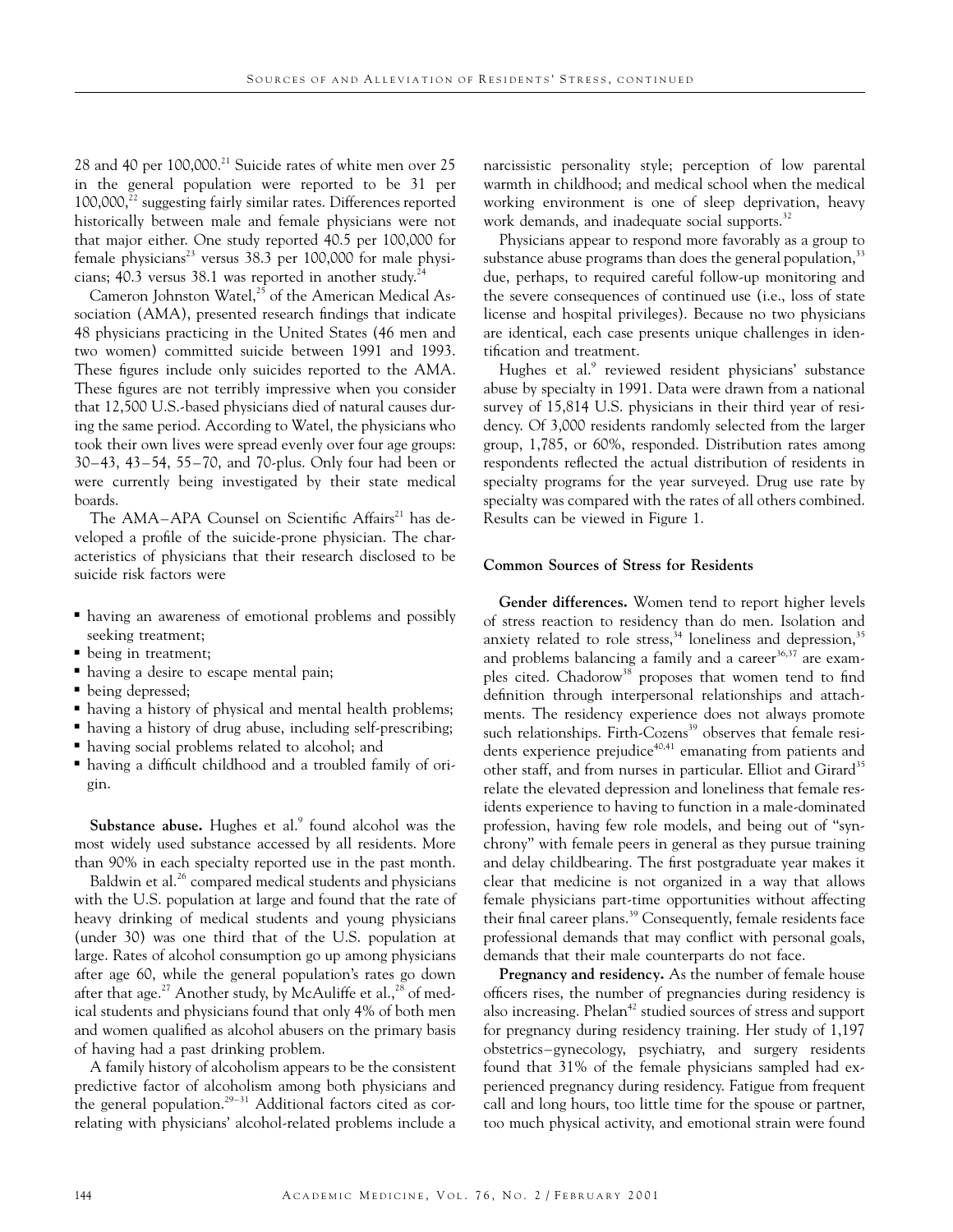28 and 40 per 100,000.<sup>21</sup> Suicide rates of white men over 25 in the general population were reported to be 31 per  $100,000$ ,<sup>22</sup> suggesting fairly similar rates. Differences reported historically between male and female physicians were not that major either. One study reported 40.5 per 100,000 for female physicians<sup>23</sup> versus  $38.3$  per 100,000 for male physicians; 40.3 versus 38.1 was reported in another study.<sup>24</sup>

Cameron Johnston Watel,<sup>25</sup> of the American Medical Association (AMA), presented research findings that indicate 48 physicians practicing in the United States (46 men and two women) committed suicide between 1991 and 1993. These figures include only suicides reported to the AMA. These figures are not terribly impressive when you consider that 12,500 U.S.-based physicians died of natural causes during the same period. According to Watel, the physicians who took their own lives were spread evenly over four age groups: 30–43, 43–54, 55–70, and 70-plus. Only four had been or were currently being investigated by their state medical boards.

The AMA–APA Counsel on Scientific Affairs<sup>21</sup> has developed a profile of the suicide-prone physician. The characteristics of physicians that their research disclosed to be suicide risk factors were

- <sup>n</sup> having an awareness of emotional problems and possibly seeking treatment;
- being in treatment;
- having a desire to escape mental pain;
- being depressed;
- having a history of physical and mental health problems;
- having a history of drug abuse, including self-prescribing;
- having social problems related to alcohol; and
- <sup>n</sup> having a difficult childhood and a troubled family of origin.

Substance abuse. Hughes et al.<sup>9</sup> found alcohol was the most widely used substance accessed by all residents. More than 90% in each specialty reported use in the past month.

Baldwin et al.<sup>26</sup> compared medical students and physicians with the U.S. population at large and found that the rate of heavy drinking of medical students and young physicians (under 30) was one third that of the U.S. population at large. Rates of alcohol consumption go up among physicians after age 60, while the general population's rates go down after that age.<sup>27</sup> Another study, by McAuliffe et al.,<sup>28</sup> of medical students and physicians found that only 4% of both men and women qualified as alcohol abusers on the primary basis of having had a past drinking problem.

A family history of alcoholism appears to be the consistent predictive factor of alcoholism among both physicians and the general population.<sup>29–31</sup> Additional factors cited as correlating with physicians' alcohol-related problems include a narcissistic personality style; perception of low parental warmth in childhood; and medical school when the medical working environment is one of sleep deprivation, heavy work demands, and inadequate social supports.<sup>32</sup>

Physicians appear to respond more favorably as a group to substance abuse programs than does the general population,  $33$ due, perhaps, to required careful follow-up monitoring and the severe consequences of continued use (i.e., loss of state license and hospital privileges). Because no two physicians are identical, each case presents unique challenges in identification and treatment.

Hughes et al.<sup>9</sup> reviewed resident physicians' substance abuse by specialty in 1991. Data were drawn from a national survey of 15,814 U.S. physicians in their third year of residency. Of 3,000 residents randomly selected from the larger group, 1,785, or 60%, responded. Distribution rates among respondents reflected the actual distribution of residents in specialty programs for the year surveyed. Drug use rate by specialty was compared with the rates of all others combined. Results can be viewed in Figure 1.

### **Common Sources of Stress for Residents**

**Gender differences.** Women tend to report higher levels of stress reaction to residency than do men. Isolation and anxiety related to role stress,  $34$  loneliness and depression,  $35$ and problems balancing a family and a career<sup>36,37</sup> are examples cited. Chadorow<sup>38</sup> proposes that women tend to find definition through interpersonal relationships and attachments. The residency experience does not always promote such relationships. Firth-Cozens<sup>39</sup> observes that female residents experience prejudice<sup> $40,41$ </sup> emanating from patients and other staff, and from nurses in particular. Elliot and Girard<sup>35</sup> relate the elevated depression and loneliness that female residents experience to having to function in a male-dominated profession, having few role models, and being out of ''synchrony'' with female peers in general as they pursue training and delay childbearing. The first postgraduate year makes it clear that medicine is not organized in a way that allows female physicians part-time opportunities without affecting their final career plans.<sup>39</sup> Consequently, female residents face professional demands that may conflict with personal goals, demands that their male counterparts do not face.

**Pregnancy and residency.** As the number of female house officers rises, the number of pregnancies during residency is also increasing. Phelan<sup>42</sup> studied sources of stress and support for pregnancy during residency training. Her study of 1,197 obstetrics–gynecology, psychiatry, and surgery residents found that 31% of the female physicians sampled had experienced pregnancy during residency. Fatigue from frequent call and long hours, too little time for the spouse or partner, too much physical activity, and emotional strain were found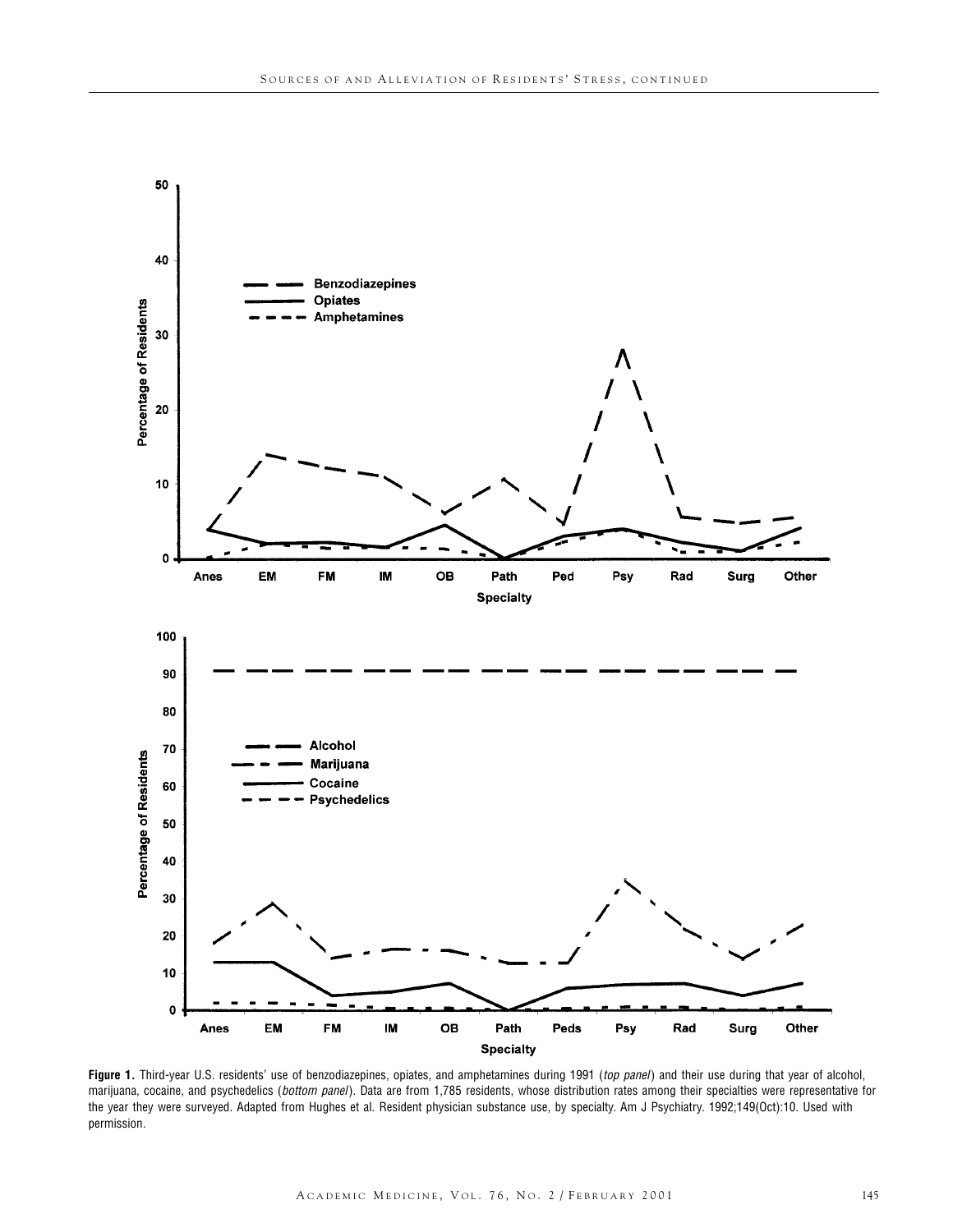

Figure 1. Third-year U.S. residents' use of benzodiazepines, opiates, and amphetamines during 1991 (top panel) and their use during that year of alcohol, marijuana, cocaine, and psychedelics (bottom panel). Data are from 1,785 residents, whose distribution rates among their specialties were representative for the year they were surveyed. Adapted from Hughes et al. Resident physician substance use, by specialty. Am J Psychiatry. 1992;149(Oct):10. Used with permission.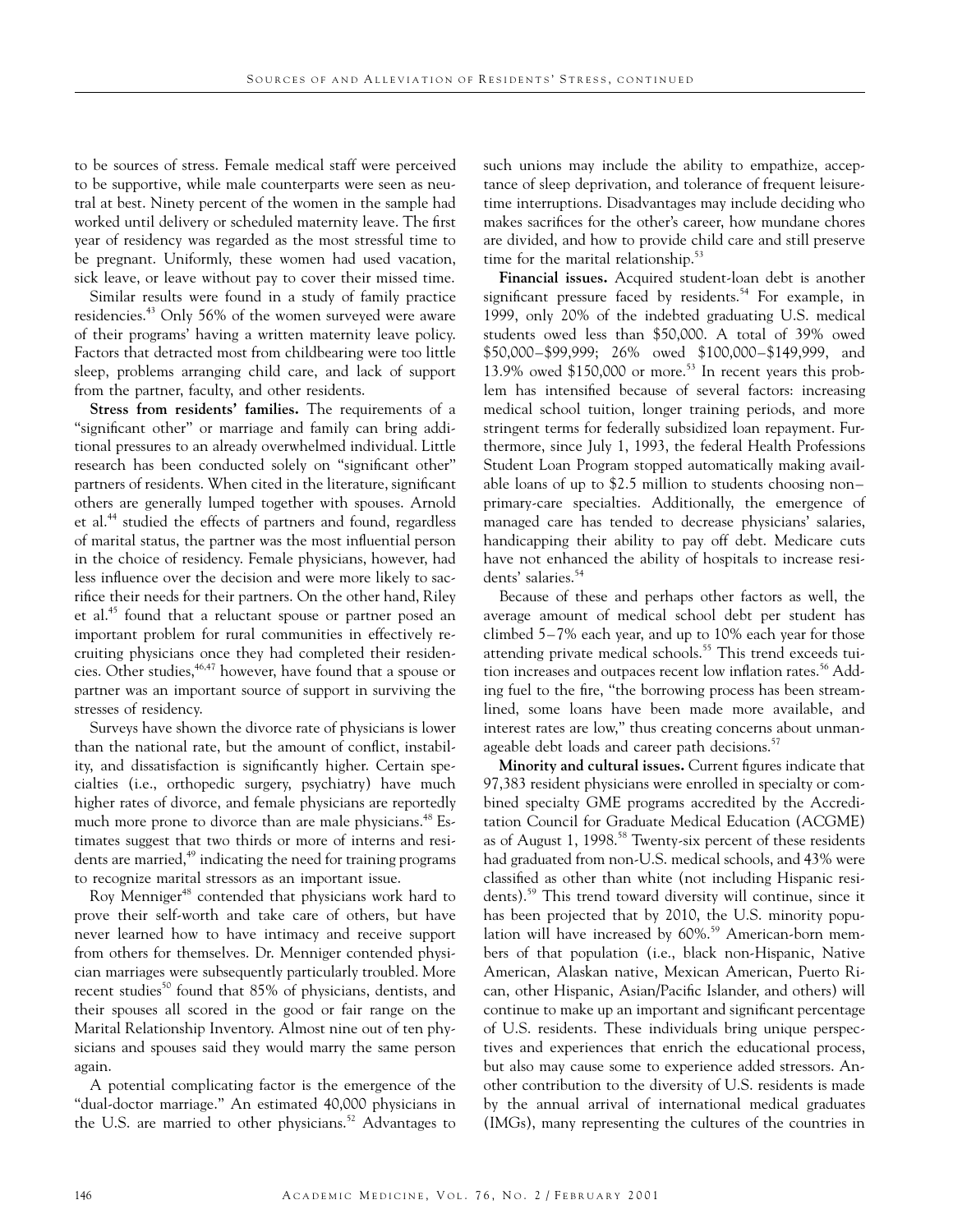to be sources of stress. Female medical staff were perceived to be supportive, while male counterparts were seen as neutral at best. Ninety percent of the women in the sample had worked until delivery or scheduled maternity leave. The first year of residency was regarded as the most stressful time to be pregnant. Uniformly, these women had used vacation, sick leave, or leave without pay to cover their missed time.

Similar results were found in a study of family practice residencies.<sup>43</sup> Only 56% of the women surveyed were aware of their programs' having a written maternity leave policy. Factors that detracted most from childbearing were too little sleep, problems arranging child care, and lack of support from the partner, faculty, and other residents.

**Stress from residents' families.** The requirements of a "significant other" or marriage and family can bring additional pressures to an already overwhelmed individual. Little research has been conducted solely on ''significant other'' partners of residents. When cited in the literature, significant others are generally lumped together with spouses. Arnold et al.<sup>44</sup> studied the effects of partners and found, regardless of marital status, the partner was the most influential person in the choice of residency. Female physicians, however, had less influence over the decision and were more likely to sacrifice their needs for their partners. On the other hand, Riley et al.<sup>45</sup> found that a reluctant spouse or partner posed an important problem for rural communities in effectively recruiting physicians once they had completed their residencies. Other studies,46,47 however, have found that a spouse or partner was an important source of support in surviving the stresses of residency.

Surveys have shown the divorce rate of physicians is lower than the national rate, but the amount of conflict, instability, and dissatisfaction is significantly higher. Certain specialties (i.e., orthopedic surgery, psychiatry) have much higher rates of divorce, and female physicians are reportedly much more prone to divorce than are male physicians.<sup>48</sup> Estimates suggest that two thirds or more of interns and residents are married,<sup>49</sup> indicating the need for training programs to recognize marital stressors as an important issue.

Roy Menniger<sup>48</sup> contended that physicians work hard to prove their self-worth and take care of others, but have never learned how to have intimacy and receive support from others for themselves. Dr. Menniger contended physician marriages were subsequently particularly troubled. More recent studies<sup>50</sup> found that  $85\%$  of physicians, dentists, and their spouses all scored in the good or fair range on the Marital Relationship Inventory. Almost nine out of ten physicians and spouses said they would marry the same person again.

A potential complicating factor is the emergence of the ''dual-doctor marriage.'' An estimated 40,000 physicians in the U.S. are married to other physicians.<sup>52</sup> Advantages to such unions may include the ability to empathize, acceptance of sleep deprivation, and tolerance of frequent leisuretime interruptions. Disadvantages may include deciding who makes sacrifices for the other's career, how mundane chores are divided, and how to provide child care and still preserve time for the marital relationship. $53$ 

**Financial issues.** Acquired student-loan debt is another significant pressure faced by residents.<sup>54</sup> For example, in 1999, only 20% of the indebted graduating U.S. medical students owed less than \$50,000. A total of 39% owed \$50,000–\$99,999; 26% owed \$100,000–\$149,999, and 13.9% owed  $$150,000$  or more.<sup>53</sup> In recent years this problem has intensified because of several factors: increasing medical school tuition, longer training periods, and more stringent terms for federally subsidized loan repayment. Furthermore, since July 1, 1993, the federal Health Professions Student Loan Program stopped automatically making available loans of up to \$2.5 million to students choosing non– primary-care specialties. Additionally, the emergence of managed care has tended to decrease physicians' salaries, handicapping their ability to pay off debt. Medicare cuts have not enhanced the ability of hospitals to increase residents' salaries.<sup>54</sup>

Because of these and perhaps other factors as well, the average amount of medical school debt per student has climbed 5–7% each year, and up to 10% each year for those attending private medical schools.<sup>55</sup> This trend exceeds tuition increases and outpaces recent low inflation rates.<sup>56</sup> Adding fuel to the fire, ''the borrowing process has been streamlined, some loans have been made more available, and interest rates are low,'' thus creating concerns about unmanageable debt loads and career path decisions.<sup>57</sup>

**Minority and cultural issues.** Current figures indicate that 97,383 resident physicians were enrolled in specialty or combined specialty GME programs accredited by the Accreditation Council for Graduate Medical Education (ACGME) as of August 1, 1998.<sup>58</sup> Twenty-six percent of these residents had graduated from non-U.S. medical schools, and 43% were classified as other than white (not including Hispanic residents).<sup>59</sup> This trend toward diversity will continue, since it has been projected that by 2010, the U.S. minority population will have increased by 60%.<sup>59</sup> American-born members of that population (i.e., black non-Hispanic, Native American, Alaskan native, Mexican American, Puerto Rican, other Hispanic, Asian/Pacific Islander, and others) will continue to make up an important and significant percentage of U.S. residents. These individuals bring unique perspectives and experiences that enrich the educational process, but also may cause some to experience added stressors. Another contribution to the diversity of U.S. residents is made by the annual arrival of international medical graduates (IMGs), many representing the cultures of the countries in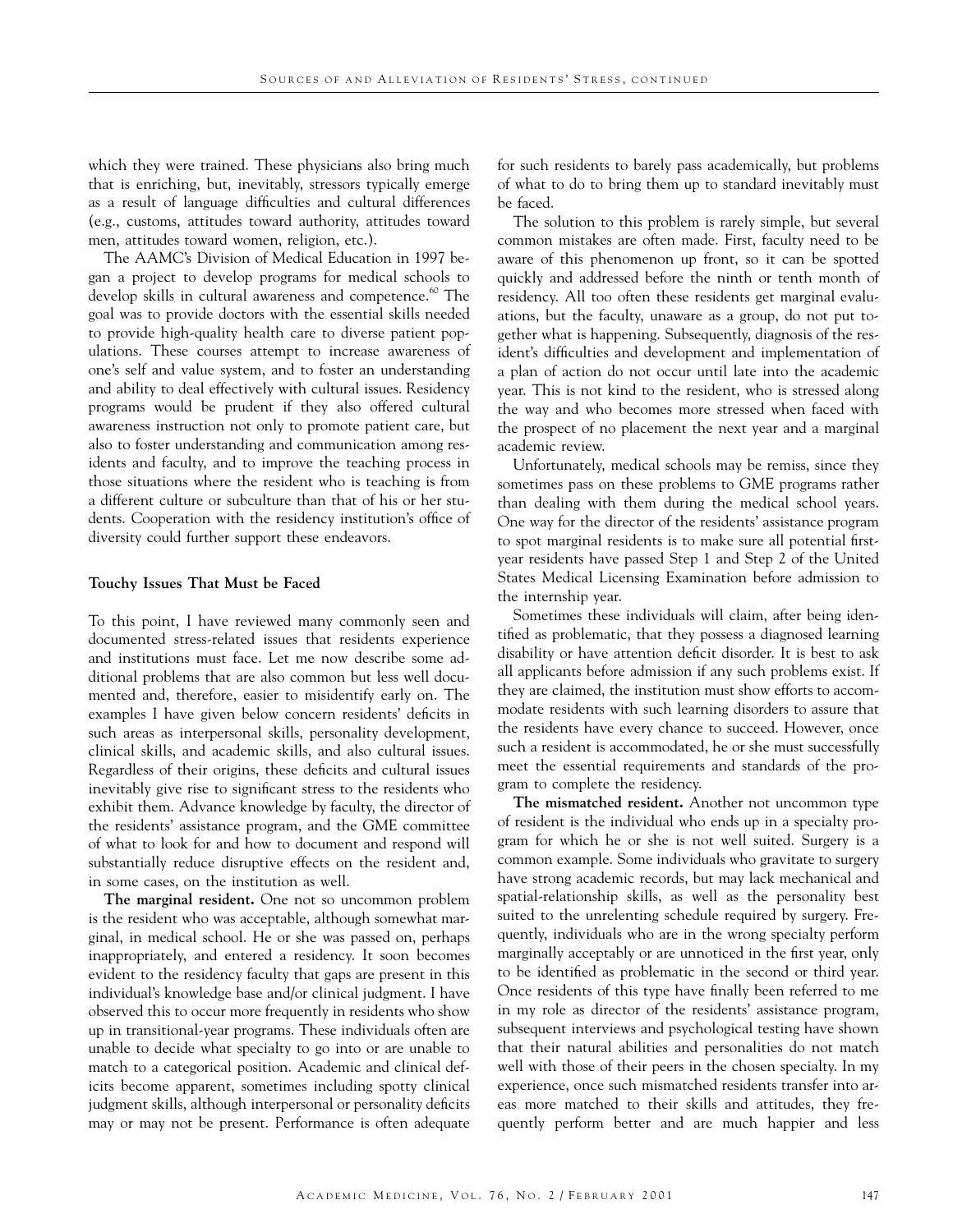which they were trained. These physicians also bring much that is enriching, but, inevitably, stressors typically emerge as a result of language difficulties and cultural differences (e.g., customs, attitudes toward authority, attitudes toward men, attitudes toward women, religion, etc.).

The AAMC's Division of Medical Education in 1997 began a project to develop programs for medical schools to develop skills in cultural awareness and competence.<sup>60</sup> The goal was to provide doctors with the essential skills needed to provide high-quality health care to diverse patient populations. These courses attempt to increase awareness of one's self and value system, and to foster an understanding and ability to deal effectively with cultural issues. Residency programs would be prudent if they also offered cultural awareness instruction not only to promote patient care, but also to foster understanding and communication among residents and faculty, and to improve the teaching process in those situations where the resident who is teaching is from a different culture or subculture than that of his or her students. Cooperation with the residency institution's office of diversity could further support these endeavors.

#### **Touchy Issues That Must be Faced**

To this point, I have reviewed many commonly seen and documented stress-related issues that residents experience and institutions must face. Let me now describe some additional problems that are also common but less well documented and, therefore, easier to misidentify early on. The examples I have given below concern residents' deficits in such areas as interpersonal skills, personality development, clinical skills, and academic skills, and also cultural issues. Regardless of their origins, these deficits and cultural issues inevitably give rise to significant stress to the residents who exhibit them. Advance knowledge by faculty, the director of the residents' assistance program, and the GME committee of what to look for and how to document and respond will substantially reduce disruptive effects on the resident and, in some cases, on the institution as well.

**The marginal resident.** One not so uncommon problem is the resident who was acceptable, although somewhat marginal, in medical school. He or she was passed on, perhaps inappropriately, and entered a residency. It soon becomes evident to the residency faculty that gaps are present in this individual's knowledge base and/or clinical judgment. I have observed this to occur more frequently in residents who show up in transitional-year programs. These individuals often are unable to decide what specialty to go into or are unable to match to a categorical position. Academic and clinical deficits become apparent, sometimes including spotty clinical judgment skills, although interpersonal or personality deficits may or may not be present. Performance is often adequate for such residents to barely pass academically, but problems of what to do to bring them up to standard inevitably must be faced.

The solution to this problem is rarely simple, but several common mistakes are often made. First, faculty need to be aware of this phenomenon up front, so it can be spotted quickly and addressed before the ninth or tenth month of residency. All too often these residents get marginal evaluations, but the faculty, unaware as a group, do not put together what is happening. Subsequently, diagnosis of the resident's difficulties and development and implementation of a plan of action do not occur until late into the academic year. This is not kind to the resident, who is stressed along the way and who becomes more stressed when faced with the prospect of no placement the next year and a marginal academic review.

Unfortunately, medical schools may be remiss, since they sometimes pass on these problems to GME programs rather than dealing with them during the medical school years. One way for the director of the residents' assistance program to spot marginal residents is to make sure all potential firstyear residents have passed Step 1 and Step 2 of the United States Medical Licensing Examination before admission to the internship year.

Sometimes these individuals will claim, after being identified as problematic, that they possess a diagnosed learning disability or have attention deficit disorder. It is best to ask all applicants before admission if any such problems exist. If they are claimed, the institution must show efforts to accommodate residents with such learning disorders to assure that the residents have every chance to succeed. However, once such a resident is accommodated, he or she must successfully meet the essential requirements and standards of the program to complete the residency.

**The mismatched resident.** Another not uncommon type of resident is the individual who ends up in a specialty program for which he or she is not well suited. Surgery is a common example. Some individuals who gravitate to surgery have strong academic records, but may lack mechanical and spatial-relationship skills, as well as the personality best suited to the unrelenting schedule required by surgery. Frequently, individuals who are in the wrong specialty perform marginally acceptably or are unnoticed in the first year, only to be identified as problematic in the second or third year. Once residents of this type have finally been referred to me in my role as director of the residents' assistance program, subsequent interviews and psychological testing have shown that their natural abilities and personalities do not match well with those of their peers in the chosen specialty. In my experience, once such mismatched residents transfer into areas more matched to their skills and attitudes, they frequently perform better and are much happier and less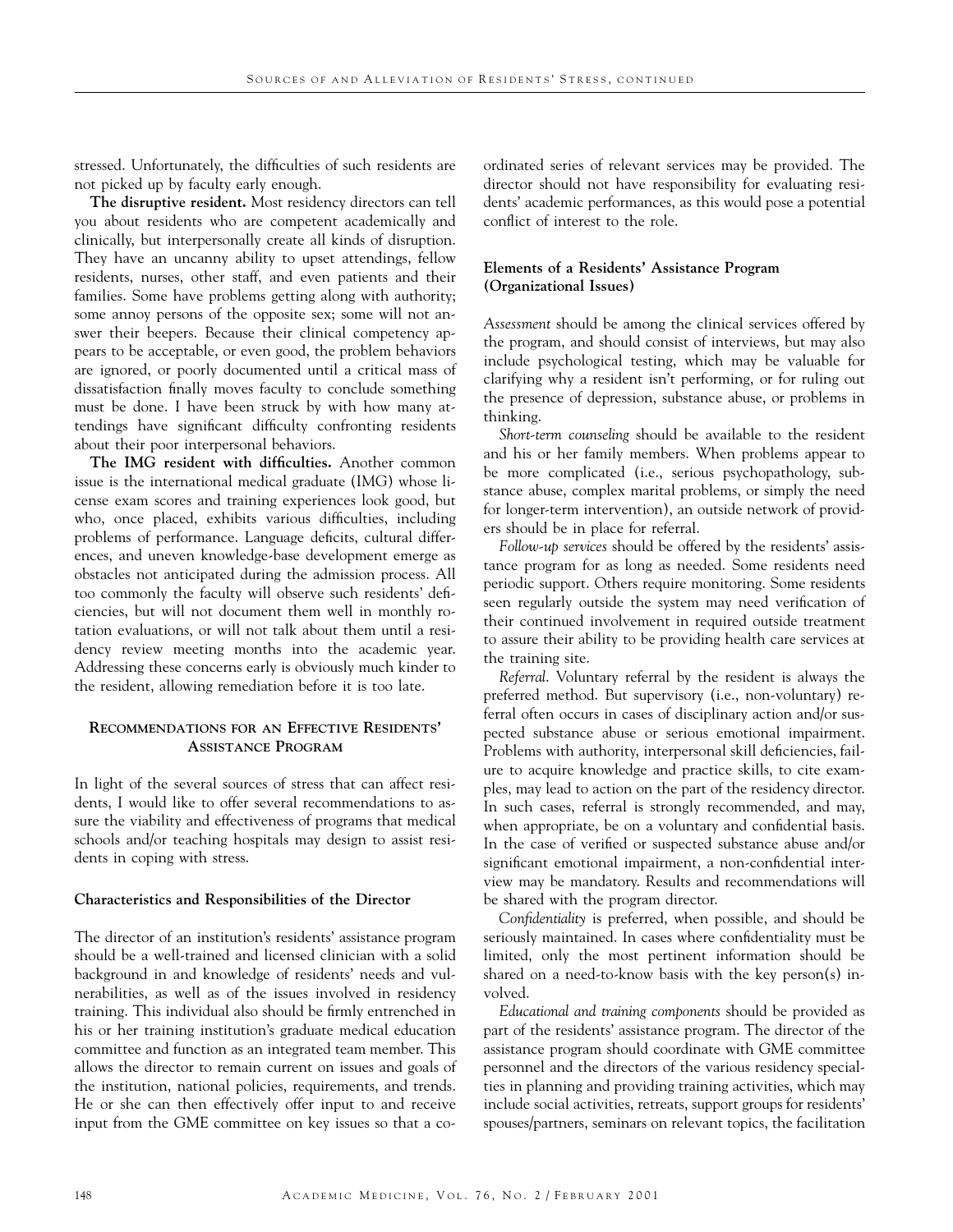stressed. Unfortunately, the difficulties of such residents are not picked up by faculty early enough.

**The disruptive resident.** Most residency directors can tell you about residents who are competent academically and clinically, but interpersonally create all kinds of disruption. They have an uncanny ability to upset attendings, fellow residents, nurses, other staff, and even patients and their families. Some have problems getting along with authority; some annoy persons of the opposite sex; some will not answer their beepers. Because their clinical competency appears to be acceptable, or even good, the problem behaviors are ignored, or poorly documented until a critical mass of dissatisfaction finally moves faculty to conclude something must be done. I have been struck by with how many attendings have significant difficulty confronting residents about their poor interpersonal behaviors.

**The IMG resident with difficulties.** Another common issue is the international medical graduate (IMG) whose license exam scores and training experiences look good, but who, once placed, exhibits various difficulties, including problems of performance. Language deficits, cultural differences, and uneven knowledge-base development emerge as obstacles not anticipated during the admission process. All too commonly the faculty will observe such residents' deficiencies, but will not document them well in monthly rotation evaluations, or will not talk about them until a residency review meeting months into the academic year. Addressing these concerns early is obviously much kinder to the resident, allowing remediation before it is too late.

## **RECOMMENDATIONS FOR AN EFFECTIVE RESIDENTS' ASSISTANCE PROGRAM**

In light of the several sources of stress that can affect residents, I would like to offer several recommendations to assure the viability and effectiveness of programs that medical schools and/or teaching hospitals may design to assist residents in coping with stress.

#### **Characteristics and Responsibilities of the Director**

The director of an institution's residents' assistance program should be a well-trained and licensed clinician with a solid background in and knowledge of residents' needs and vulnerabilities, as well as of the issues involved in residency training. This individual also should be firmly entrenched in his or her training institution's graduate medical education committee and function as an integrated team member. This allows the director to remain current on issues and goals of the institution, national policies, requirements, and trends. He or she can then effectively offer input to and receive input from the GME committee on key issues so that a coordinated series of relevant services may be provided. The director should not have responsibility for evaluating residents' academic performances, as this would pose a potential conflict of interest to the role.

## **Elements of a Residents' Assistance Program (Organizational Issues)**

*Assessment* should be among the clinical services offered by the program, and should consist of interviews, but may also include psychological testing, which may be valuable for clarifying why a resident isn't performing, or for ruling out the presence of depression, substance abuse, or problems in thinking.

*Short-term counseling* should be available to the resident and his or her family members. When problems appear to be more complicated (i.e., serious psychopathology, substance abuse, complex marital problems, or simply the need for longer-term intervention), an outside network of providers should be in place for referral.

*Follow-up services* should be offered by the residents' assistance program for as long as needed. Some residents need periodic support. Others require monitoring. Some residents seen regularly outside the system may need verification of their continued involvement in required outside treatment to assure their ability to be providing health care services at the training site.

*Referral*. Voluntary referral by the resident is always the preferred method. But supervisory (i.e., non-voluntary) referral often occurs in cases of disciplinary action and/or suspected substance abuse or serious emotional impairment. Problems with authority, interpersonal skill deficiencies, failure to acquire knowledge and practice skills, to cite examples, may lead to action on the part of the residency director. In such cases, referral is strongly recommended, and may, when appropriate, be on a voluntary and confidential basis. In the case of verified or suspected substance abuse and/or significant emotional impairment, a non-confidential interview may be mandatory. Results and recommendations will be shared with the program director.

*Confidentiality* is preferred, when possible, and should be seriously maintained. In cases where confidentiality must be limited, only the most pertinent information should be shared on a need-to-know basis with the key person(s) involved.

*Educational and training components* should be provided as part of the residents' assistance program. The director of the assistance program should coordinate with GME committee personnel and the directors of the various residency specialties in planning and providing training activities, which may include social activities, retreats, support groups for residents' spouses/partners, seminars on relevant topics, the facilitation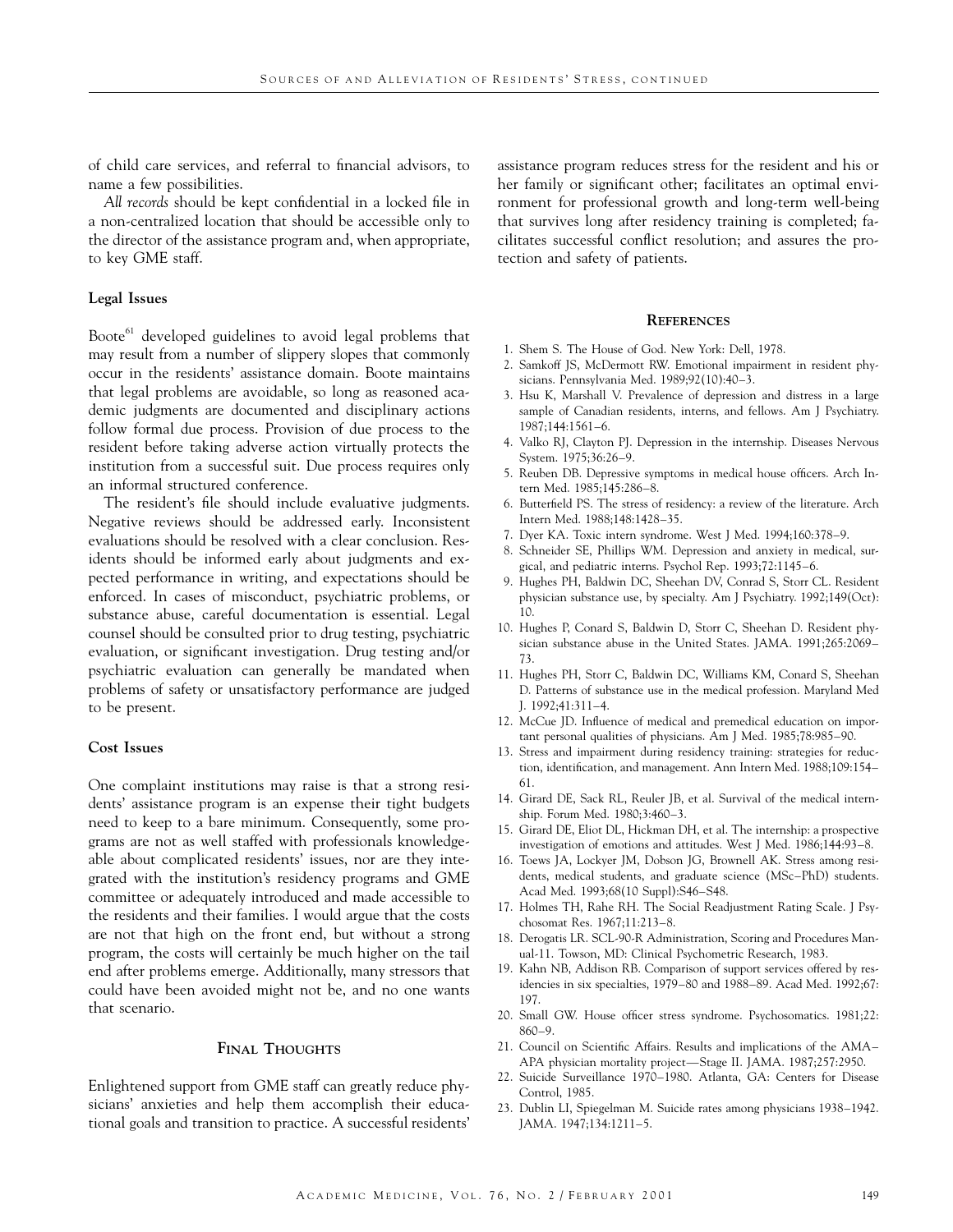of child care services, and referral to financial advisors, to name a few possibilities.

*All records* should be kept confidential in a locked file in a non-centralized location that should be accessible only to the director of the assistance program and, when appropriate, to key GME staff.

#### **Legal Issues**

Boote<sup>61</sup> developed guidelines to avoid legal problems that may result from a number of slippery slopes that commonly occur in the residents' assistance domain. Boote maintains that legal problems are avoidable, so long as reasoned academic judgments are documented and disciplinary actions follow formal due process. Provision of due process to the resident before taking adverse action virtually protects the institution from a successful suit. Due process requires only an informal structured conference.

The resident's file should include evaluative judgments. Negative reviews should be addressed early. Inconsistent evaluations should be resolved with a clear conclusion. Residents should be informed early about judgments and expected performance in writing, and expectations should be enforced. In cases of misconduct, psychiatric problems, or substance abuse, careful documentation is essential. Legal counsel should be consulted prior to drug testing, psychiatric evaluation, or significant investigation. Drug testing and/or psychiatric evaluation can generally be mandated when problems of safety or unsatisfactory performance are judged to be present.

#### **Cost Issues**

One complaint institutions may raise is that a strong residents' assistance program is an expense their tight budgets need to keep to a bare minimum. Consequently, some programs are not as well staffed with professionals knowledgeable about complicated residents' issues, nor are they integrated with the institution's residency programs and GME committee or adequately introduced and made accessible to the residents and their families. I would argue that the costs are not that high on the front end, but without a strong program, the costs will certainly be much higher on the tail end after problems emerge. Additionally, many stressors that could have been avoided might not be, and no one wants that scenario.

#### **FINAL THOUGHTS**

Enlightened support from GME staff can greatly reduce physicians' anxieties and help them accomplish their educational goals and transition to practice. A successful residents' assistance program reduces stress for the resident and his or her family or significant other; facilitates an optimal environment for professional growth and long-term well-being that survives long after residency training is completed; facilitates successful conflict resolution; and assures the protection and safety of patients.

#### **REFERENCES**

- 1. Shem S. The House of God. New York: Dell, 1978.
- 2. Samkoff JS, McDermott RW. Emotional impairment in resident physicians. Pennsylvania Med. 1989;92(10):40–3.
- 3. Hsu K, Marshall V. Prevalence of depression and distress in a large sample of Canadian residents, interns, and fellows. Am J Psychiatry. 1987;144:1561–6.
- 4. Valko RJ, Clayton PJ. Depression in the internship. Diseases Nervous System. 1975;36:26–9.
- 5. Reuben DB. Depressive symptoms in medical house officers. Arch Intern Med. 1985;145:286–8.
- 6. Butterfield PS. The stress of residency: a review of the literature. Arch Intern Med. 1988;148:1428–35.
- 7. Dyer KA. Toxic intern syndrome. West J Med. 1994;160:378–9.
- 8. Schneider SE, Phillips WM. Depression and anxiety in medical, surgical, and pediatric interns. Psychol Rep. 1993;72:1145–6.
- 9. Hughes PH, Baldwin DC, Sheehan DV, Conrad S, Storr CL. Resident physician substance use, by specialty. Am J Psychiatry. 1992;149(Oct): 10.
- 10. Hughes P, Conard S, Baldwin D, Storr C, Sheehan D. Resident physician substance abuse in the United States. JAMA. 1991;265:2069– 73.
- 11. Hughes PH, Storr C, Baldwin DC, Williams KM, Conard S, Sheehan D. Patterns of substance use in the medical profession. Maryland Med J. 1992;41:311–4.
- 12. McCue JD. Influence of medical and premedical education on important personal qualities of physicians. Am J Med. 1985;78:985–90.
- 13. Stress and impairment during residency training: strategies for reduction, identification, and management. Ann Intern Med. 1988;109:154– 61.
- 14. Girard DE, Sack RL, Reuler JB, et al. Survival of the medical internship. Forum Med. 1980;3:460–3.
- 15. Girard DE, Eliot DL, Hickman DH, et al. The internship: a prospective investigation of emotions and attitudes. West J Med. 1986;144:93–8.
- 16. Toews JA, Lockyer JM, Dobson JG, Brownell AK. Stress among residents, medical students, and graduate science (MSc–PhD) students. Acad Med. 1993;68(10 Suppl):S46–S48.
- 17. Holmes TH, Rahe RH. The Social Readjustment Rating Scale. J Psychosomat Res. 1967;11:213–8.
- 18. Derogatis LR. SCL-90-R Administration, Scoring and Procedures Manual-11. Towson, MD: Clinical Psychometric Research, 1983.
- 19. Kahn NB, Addison RB. Comparison of support services offered by residencies in six specialties, 1979–80 and 1988–89. Acad Med. 1992;67: 197.
- 20. Small GW. House officer stress syndrome. Psychosomatics. 1981;22: 860–9.
- 21. Council on Scientific Affairs. Results and implications of the AMA– APA physician mortality project—Stage II. JAMA. 1987;257:2950.
- 22. Suicide Surveillance 1970–1980. Atlanta, GA: Centers for Disease Control, 1985.
- 23. Dublin LI, Spiegelman M. Suicide rates among physicians 1938–1942. JAMA. 1947;134:1211–5.